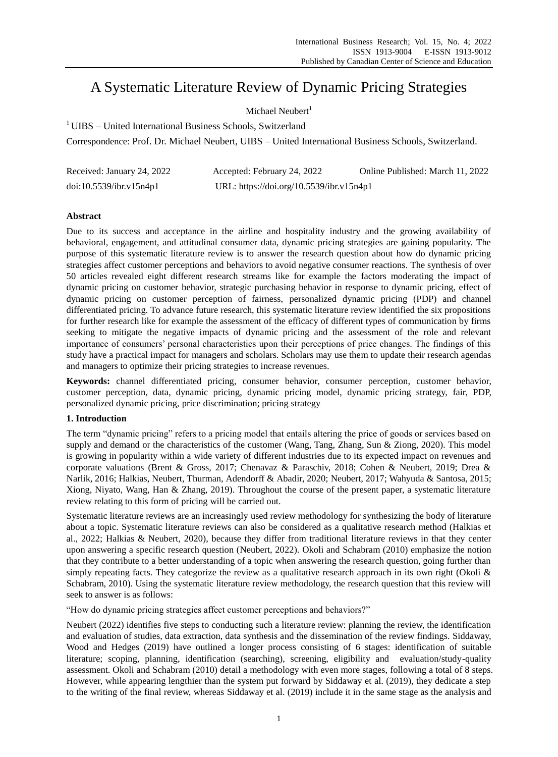# A Systematic Literature Review of Dynamic Pricing Strategies

Michael Neubert $<sup>1</sup>$ </sup>

<sup>1</sup> UIBS – United International Business Schools, Switzerland

Correspondence: Prof. Dr. Michael Neubert, UIBS – United International Business Schools, Switzerland.

| Received: January 24, 2022 | Accepted: February 24, 2022              | Online Published: March 11, 2022 |
|----------------------------|------------------------------------------|----------------------------------|
| doi:10.5539/ibr.v15n4p1    | URL: https://doi.org/10.5539/ibr.v15n4p1 |                                  |

# **Abstract**

Due to its success and acceptance in the airline and hospitality industry and the growing availability of behavioral, engagement, and attitudinal consumer data, dynamic pricing strategies are gaining popularity. The purpose of this systematic literature review is to answer the research question about how do dynamic pricing strategies affect customer perceptions and behaviors to avoid negative consumer reactions. The synthesis of over 50 articles revealed eight different research streams like for example the factors moderating the impact of dynamic pricing on customer behavior, strategic purchasing behavior in response to dynamic pricing, effect of dynamic pricing on customer perception of fairness, personalized dynamic pricing (PDP) and channel differentiated pricing. To advance future research, this systematic literature review identified the six propositions for further research like for example the assessment of the efficacy of different types of communication by firms seeking to mitigate the negative impacts of dynamic pricing and the assessment of the role and relevant importance of consumers' personal characteristics upon their perceptions of price changes. The findings of this study have a practical impact for managers and scholars. Scholars may use them to update their research agendas and managers to optimize their pricing strategies to increase revenues.

**Keywords:** channel differentiated pricing, consumer behavior, consumer perception, customer behavior, customer perception, data, dynamic pricing, dynamic pricing model, dynamic pricing strategy, fair, PDP, personalized dynamic pricing, price discrimination; pricing strategy

# **1. Introduction**

The term "dynamic pricing" refers to a pricing model that entails altering the price of goods or services based on supply and demand or the characteristics of the customer (Wang, Tang, Zhang, Sun & Ziong, 2020). This model is growing in popularity within a wide variety of different industries due to its expected impact on revenues and corporate valuations (Brent & Gross, 2017; Chenavaz & Paraschiv, 2018; Cohen & Neubert, 2019; Drea & Narlik, 2016; Halkias, Neubert, Thurman, Adendorff & Abadir, 2020; Neubert, 2017; Wahyuda & Santosa, 2015; Xiong, Niyato, Wang, Han & Zhang, 2019). Throughout the course of the present paper, a systematic literature review relating to this form of pricing will be carried out.

Systematic literature reviews are an increasingly used review methodology for synthesizing the body of literature about a topic. Systematic literature reviews can also be considered as a qualitative research method (Halkias et al., 2022; Halkias & Neubert, 2020), because they differ from traditional literature reviews in that they center upon answering a specific research question (Neubert, 2022). Okoli and Schabram (2010) emphasize the notion that they contribute to a better understanding of a topic when answering the research question, going further than simply repeating facts. They categorize the review as a qualitative research approach in its own right (Okoli  $\&$ Schabram, 2010). Using the systematic literature review methodology, the research question that this review will seek to answer is as follows:

"How do dynamic pricing strategies affect customer perceptions and behaviors?"

Neubert (2022) identifies five steps to conducting such a literature review: planning the review, the identification and evaluation of studies, data extraction, data synthesis and the dissemination of the review findings. Siddaway, Wood and Hedges (2019) have outlined a longer process consisting of 6 stages: identification of suitable literature; scoping, planning, identification (searching), screening, eligibility and evaluation/study-quality assessment. Okoli and Schabram (2010) detail a methodology with even more stages, following a total of 8 steps. However, while appearing lengthier than the system put forward by Siddaway et al. (2019), they dedicate a step to the writing of the final review, whereas Siddaway et al. (2019) include it in the same stage as the analysis and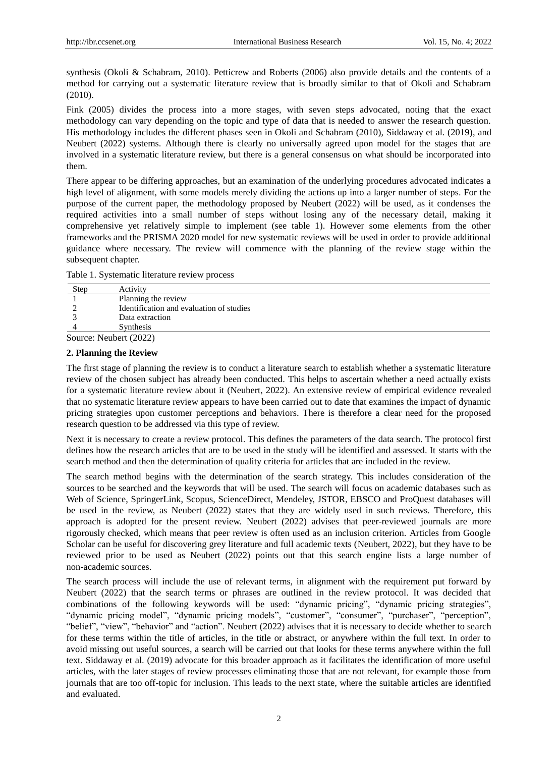synthesis (Okoli & Schabram, 2010). Petticrew and Roberts (2006) also provide details and the contents of a method for carrying out a systematic literature review that is broadly similar to that of Okoli and Schabram (2010).

Fink (2005) divides the process into a more stages, with seven steps advocated, noting that the exact methodology can vary depending on the topic and type of data that is needed to answer the research question. His methodology includes the different phases seen in Okoli and Schabram (2010), Siddaway et al. (2019), and Neubert (2022) systems. Although there is clearly no universally agreed upon model for the stages that are involved in a systematic literature review, but there is a general consensus on what should be incorporated into them.

There appear to be differing approaches, but an examination of the underlying procedures advocated indicates a high level of alignment, with some models merely dividing the actions up into a larger number of steps. For the purpose of the current paper, the methodology proposed by Neubert (2022) will be used, as it condenses the required activities into a small number of steps without losing any of the necessary detail, making it comprehensive yet relatively simple to implement (see table 1). However some elements from the other frameworks and the PRISMA 2020 model for new systematic reviews will be used in order to provide additional guidance where necessary. The review will commence with the planning of the review stage within the subsequent chapter.

|  | Table 1. Systematic literature review process |  |  |
|--|-----------------------------------------------|--|--|
|  |                                               |  |  |
|  |                                               |  |  |

| Step | Activity                                 |
|------|------------------------------------------|
|      | Planning the review                      |
|      | Identification and evaluation of studies |
|      | Data extraction                          |
|      | Synthesis                                |
|      | $\gamma_{\text{out}}$ Noubort (2022)     |

Source: Neubert (2022)

# **2. Planning the Review**

The first stage of planning the review is to conduct a literature search to establish whether a systematic literature review of the chosen subject has already been conducted. This helps to ascertain whether a need actually exists for a systematic literature review about it (Neubert, 2022). An extensive review of empirical evidence revealed that no systematic literature review appears to have been carried out to date that examines the impact of dynamic pricing strategies upon customer perceptions and behaviors. There is therefore a clear need for the proposed research question to be addressed via this type of review.

Next it is necessary to create a review protocol. This defines the parameters of the data search. The protocol first defines how the research articles that are to be used in the study will be identified and assessed. It starts with the search method and then the determination of quality criteria for articles that are included in the review.

The search method begins with the determination of the search strategy. This includes consideration of the sources to be searched and the keywords that will be used. The search will focus on academic databases such as Web of Science, SpringerLink, Scopus, ScienceDirect, Mendeley, JSTOR, EBSCO and ProQuest databases will be used in the review, as Neubert (2022) states that they are widely used in such reviews. Therefore, this approach is adopted for the present review. Neubert (2022) advises that peer-reviewed journals are more rigorously checked, which means that peer review is often used as an inclusion criterion. Articles from Google Scholar can be useful for discovering grey literature and full academic texts (Neubert, 2022), but they have to be reviewed prior to be used as Neubert (2022) points out that this search engine lists a large number of non-academic sources.

The search process will include the use of relevant terms, in alignment with the requirement put forward by Neubert (2022) that the search terms or phrases are outlined in the review protocol. It was decided that combinations of the following keywords will be used: "dynamic pricing", "dynamic pricing strategies", "dynamic pricing model", "dynamic pricing models", "customer", "consumer", "purchaser", "perception", "belief", "view", "behavior" and "action". Neubert (2022) advises that it is necessary to decide whether to search for these terms within the title of articles, in the title or abstract, or anywhere within the full text. In order to avoid missing out useful sources, a search will be carried out that looks for these terms anywhere within the full text. Siddaway et al. (2019) advocate for this broader approach as it facilitates the identification of more useful articles, with the later stages of review processes eliminating those that are not relevant, for example those from journals that are too off-topic for inclusion. This leads to the next state, where the suitable articles are identified and evaluated.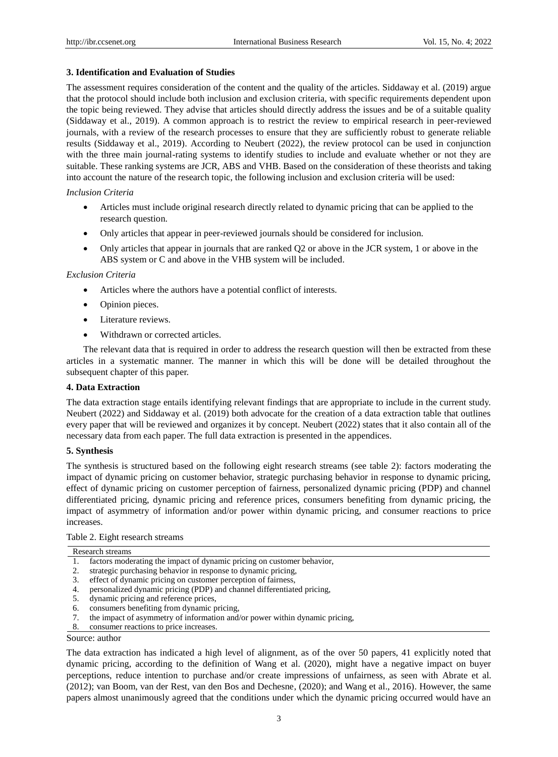#### **3. Identification and Evaluation of Studies**

The assessment requires consideration of the content and the quality of the articles. Siddaway et al. (2019) argue that the protocol should include both inclusion and exclusion criteria, with specific requirements dependent upon the topic being reviewed. They advise that articles should directly address the issues and be of a suitable quality (Siddaway et al., 2019). A common approach is to restrict the review to empirical research in peer-reviewed journals, with a review of the research processes to ensure that they are sufficiently robust to generate reliable results (Siddaway et al., 2019). According to Neubert (2022), the review protocol can be used in conjunction with the three main journal-rating systems to identify studies to include and evaluate whether or not they are suitable. These ranking systems are JCR, ABS and VHB. Based on the consideration of these theorists and taking into account the nature of the research topic, the following inclusion and exclusion criteria will be used:

#### *Inclusion Criteria*

- Articles must include original research directly related to dynamic pricing that can be applied to the research question.
- Only articles that appear in peer-reviewed journals should be considered for inclusion.
- Only articles that appear in journals that are ranked Q2 or above in the JCR system, 1 or above in the ABS system or C and above in the VHB system will be included.

#### *Exclusion Criteria*

- Articles where the authors have a potential conflict of interests.
- Opinion pieces.
- Literature reviews.
- Withdrawn or corrected articles.

The relevant data that is required in order to address the research question will then be extracted from these articles in a systematic manner. The manner in which this will be done will be detailed throughout the subsequent chapter of this paper.

#### **4. Data Extraction**

The data extraction stage entails identifying relevant findings that are appropriate to include in the current study. Neubert (2022) and Siddaway et al. (2019) both advocate for the creation of a data extraction table that outlines every paper that will be reviewed and organizes it by concept. Neubert (2022) states that it also contain all of the necessary data from each paper. The full data extraction is presented in the appendices.

#### **5. Synthesis**

The synthesis is structured based on the following eight research streams (see table 2): factors moderating the impact of dynamic pricing on customer behavior, strategic purchasing behavior in response to dynamic pricing, effect of dynamic pricing on customer perception of fairness, personalized dynamic pricing (PDP) and channel differentiated pricing, dynamic pricing and reference prices, consumers benefiting from dynamic pricing, the impact of asymmetry of information and/or power within dynamic pricing, and consumer reactions to price increases.

#### Table 2. Eight research streams

|    | Research streams                                                       |
|----|------------------------------------------------------------------------|
|    | factors moderating the impact of dynamic pricing on customer behavior, |
| 2. | strategic purchasing behavior in response to dynamic pricing,          |
| 3. | effect of dynamic pricing on customer perception of fairness,          |

- 4. personalized dynamic pricing (PDP) and channel differentiated pricing,
- 5. dynamic pricing and reference prices,
- consumers benefiting from dynamic pricing,
- 7. the impact of asymmetry of information and/or power within dynamic pricing,
- 8. consumer reactions to price increases.

### Source: author

The data extraction has indicated a high level of alignment, as of the over 50 papers, 41 explicitly noted that dynamic pricing, according to the definition of Wang et al. (2020), might have a negative impact on buyer perceptions, reduce intention to purchase and/or create impressions of unfairness, as seen with Abrate et al. (2012); van Boom, van der Rest, van den Bos and Dechesne, (2020); and Wang et al., 2016). However, the same papers almost unanimously agreed that the conditions under which the dynamic pricing occurred would have an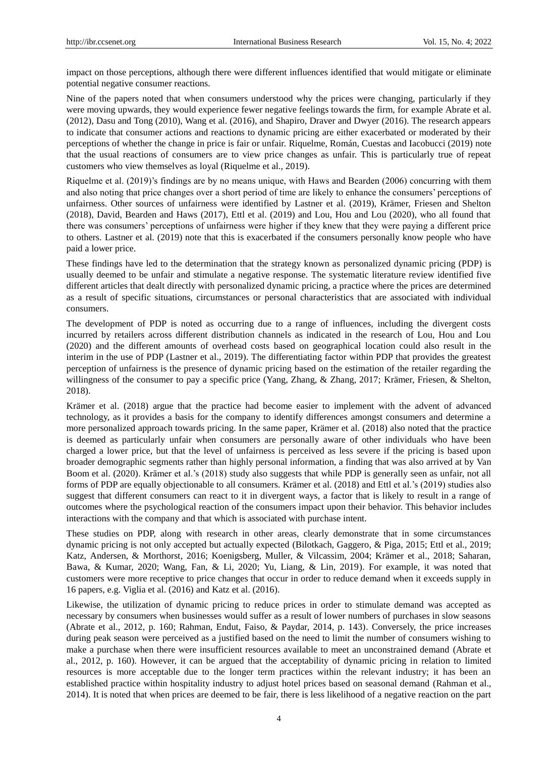impact on those perceptions, although there were different influences identified that would mitigate or eliminate potential negative consumer reactions.

Nine of the papers noted that when consumers understood why the prices were changing, particularly if they were moving upwards, they would experience fewer negative feelings towards the firm, for example Abrate et al. (2012), Dasu and Tong (2010), Wang et al. (2016), and Shapiro, Draver and Dwyer (2016). The research appears to indicate that consumer actions and reactions to dynamic pricing are either exacerbated or moderated by their perceptions of whether the change in price is fair or unfair. Riquelme, Román, Cuestas and Iacobucci (2019) note that the usual reactions of consumers are to view price changes as unfair. This is particularly true of repeat customers who view themselves as loyal (Riquelme et al., 2019).

Riquelme et al. (2019)'s findings are by no means unique, with Haws and Bearden (2006) concurring with them and also noting that price changes over a short period of time are likely to enhance the consumers' perceptions of unfairness. Other sources of unfairness were identified by Lastner et al. (2019), Krämer, Friesen and Shelton (2018), David, Bearden and Haws (2017), Ettl et al. (2019) and Lou, Hou and Lou (2020), who all found that there was consumers' perceptions of unfairness were higher if they knew that they were paying a different price to others. Lastner et al. (2019) note that this is exacerbated if the consumers personally know people who have paid a lower price.

These findings have led to the determination that the strategy known as personalized dynamic pricing (PDP) is usually deemed to be unfair and stimulate a negative response. The systematic literature review identified five different articles that dealt directly with personalized dynamic pricing, a practice where the prices are determined as a result of specific situations, circumstances or personal characteristics that are associated with individual consumers.

The development of PDP is noted as occurring due to a range of influences, including the divergent costs incurred by retailers across different distribution channels as indicated in the research of Lou, Hou and Lou (2020) and the different amounts of overhead costs based on geographical location could also result in the interim in the use of PDP (Lastner et al., 2019). The differentiating factor within PDP that provides the greatest perception of unfairness is the presence of dynamic pricing based on the estimation of the retailer regarding the willingness of the consumer to pay a specific price (Yang, Zhang, & Zhang, 2017; Krämer, Friesen, & Shelton, 2018).

Krämer et al. (2018) argue that the practice had become easier to implement with the advent of advanced technology, as it provides a basis for the company to identify differences amongst consumers and determine a more personalized approach towards pricing. In the same paper, Krämer et al. (2018) also noted that the practice is deemed as particularly unfair when consumers are personally aware of other individuals who have been charged a lower price, but that the level of unfairness is perceived as less severe if the pricing is based upon broader demographic segments rather than highly personal information, a finding that was also arrived at by Van Boom et al. (2020). Krämer et al.'s (2018) study also suggests that while PDP is generally seen as unfair, not all forms of PDP are equally objectionable to all consumers. Krämer et al. (2018) and Ettl et al.'s (2019) studies also suggest that different consumers can react to it in divergent ways, a factor that is likely to result in a range of outcomes where the psychological reaction of the consumers impact upon their behavior. This behavior includes interactions with the company and that which is associated with purchase intent.

These studies on PDP, along with research in other areas, clearly demonstrate that in some circumstances dynamic pricing is not only accepted but actually expected (Bilotkach, Gaggero, & Piga, 2015; Ettl et al., 2019; Katz, Andersen, & Morthorst, 2016; Koenigsberg, Muller, & Vilcassim, 2004; Krämer et al., 2018; Saharan, Bawa, & Kumar, 2020; Wang, Fan, & Li, 2020; Yu, Liang, & Lin, 2019). For example, it was noted that customers were more receptive to price changes that occur in order to reduce demand when it exceeds supply in 16 papers, e.g. Viglia et al. (2016) and Katz et al. (2016).

Likewise, the utilization of dynamic pricing to reduce prices in order to stimulate demand was accepted as necessary by consumers when businesses would suffer as a result of lower numbers of purchases in slow seasons (Abrate et al., 2012, p. 160; Rahman, Endut, Faiso, & Paydar, 2014, p. 143). Conversely, the price increases during peak season were perceived as a justified based on the need to limit the number of consumers wishing to make a purchase when there were insufficient resources available to meet an unconstrained demand (Abrate et al., 2012, p. 160). However, it can be argued that the acceptability of dynamic pricing in relation to limited resources is more acceptable due to the longer term practices within the relevant industry; it has been an established practice within hospitality industry to adjust hotel prices based on seasonal demand (Rahman et al., 2014). It is noted that when prices are deemed to be fair, there is less likelihood of a negative reaction on the part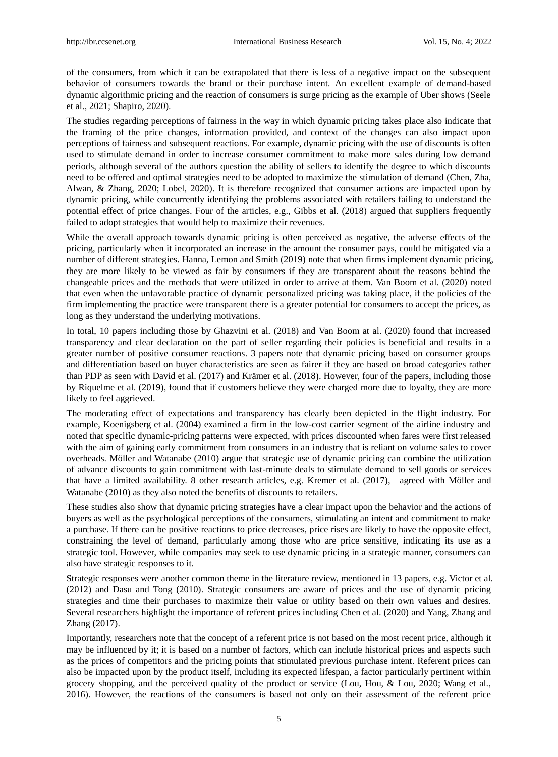of the consumers, from which it can be extrapolated that there is less of a negative impact on the subsequent behavior of consumers towards the brand or their purchase intent. An excellent example of demand-based dynamic algorithmic pricing and the reaction of consumers is surge pricing as the example of Uber shows (Seele et al., 2021; Shapiro, 2020).

The studies regarding perceptions of fairness in the way in which dynamic pricing takes place also indicate that the framing of the price changes, information provided, and context of the changes can also impact upon perceptions of fairness and subsequent reactions. For example, dynamic pricing with the use of discounts is often used to stimulate demand in order to increase consumer commitment to make more sales during low demand periods, although several of the authors question the ability of sellers to identify the degree to which discounts need to be offered and optimal strategies need to be adopted to maximize the stimulation of demand (Chen, Zha, Alwan, & Zhang, 2020; Lobel, 2020). It is therefore recognized that consumer actions are impacted upon by dynamic pricing, while concurrently identifying the problems associated with retailers failing to understand the potential effect of price changes. Four of the articles, e.g., Gibbs et al. (2018) argued that suppliers frequently failed to adopt strategies that would help to maximize their revenues.

While the overall approach towards dynamic pricing is often perceived as negative, the adverse effects of the pricing, particularly when it incorporated an increase in the amount the consumer pays, could be mitigated via a number of different strategies. Hanna, Lemon and Smith (2019) note that when firms implement dynamic pricing, they are more likely to be viewed as fair by consumers if they are transparent about the reasons behind the changeable prices and the methods that were utilized in order to arrive at them. Van Boom et al. (2020) noted that even when the unfavorable practice of dynamic personalized pricing was taking place, if the policies of the firm implementing the practice were transparent there is a greater potential for consumers to accept the prices, as long as they understand the underlying motivations.

In total, 10 papers including those by Ghazvini et al. (2018) and Van Boom at al. (2020) found that increased transparency and clear declaration on the part of seller regarding their policies is beneficial and results in a greater number of positive consumer reactions. 3 papers note that dynamic pricing based on consumer groups and differentiation based on buyer characteristics are seen as fairer if they are based on broad categories rather than PDP as seen with David et al. (2017) and Krämer et al. (2018). However, four of the papers, including those by Riquelme et al. (2019), found that if customers believe they were charged more due to loyalty, they are more likely to feel aggrieved.

The moderating effect of expectations and transparency has clearly been depicted in the flight industry. For example, Koenigsberg et al. (2004) examined a firm in the low-cost carrier segment of the airline industry and noted that specific dynamic-pricing patterns were expected, with prices discounted when fares were first released with the aim of gaining early commitment from consumers in an industry that is reliant on volume sales to cover overheads. Möller and Watanabe (2010) argue that strategic use of dynamic pricing can combine the utilization of advance discounts to gain commitment with last-minute deals to stimulate demand to sell goods or services that have a limited availability. 8 other research articles, e.g. Kremer et al. (2017), agreed with Möller and Watanabe (2010) as they also noted the benefits of discounts to retailers.

These studies also show that dynamic pricing strategies have a clear impact upon the behavior and the actions of buyers as well as the psychological perceptions of the consumers, stimulating an intent and commitment to make a purchase. If there can be positive reactions to price decreases, price rises are likely to have the opposite effect, constraining the level of demand, particularly among those who are price sensitive, indicating its use as a strategic tool. However, while companies may seek to use dynamic pricing in a strategic manner, consumers can also have strategic responses to it.

Strategic responses were another common theme in the literature review, mentioned in 13 papers, e.g. Victor et al. (2012) and Dasu and Tong (2010). Strategic consumers are aware of prices and the use of dynamic pricing strategies and time their purchases to maximize their value or utility based on their own values and desires. Several researchers highlight the importance of referent prices including Chen et al. (2020) and Yang, Zhang and Zhang (2017).

Importantly, researchers note that the concept of a referent price is not based on the most recent price, although it may be influenced by it; it is based on a number of factors, which can include historical prices and aspects such as the prices of competitors and the pricing points that stimulated previous purchase intent. Referent prices can also be impacted upon by the product itself, including its expected lifespan, a factor particularly pertinent within grocery shopping, and the perceived quality of the product or service (Lou, Hou, & Lou, 2020; Wang et al., 2016). However, the reactions of the consumers is based not only on their assessment of the referent price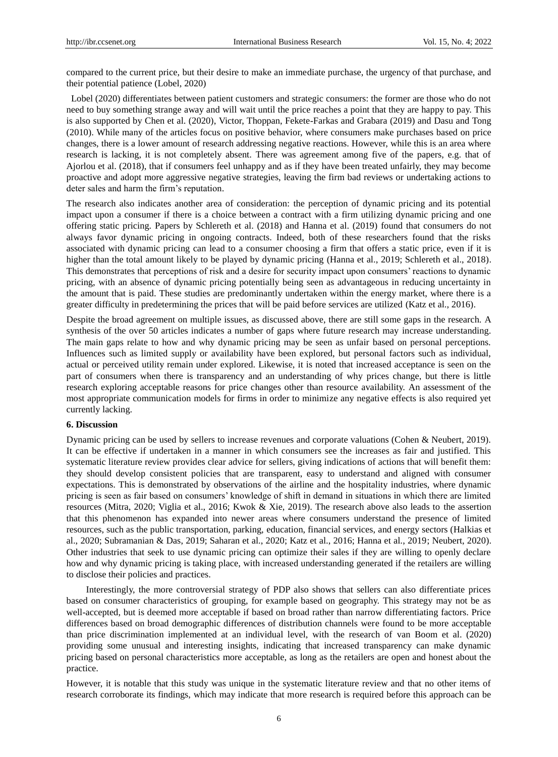compared to the current price, but their desire to make an immediate purchase, the urgency of that purchase, and their potential patience (Lobel, 2020)

Lobel (2020) differentiates between patient customers and strategic consumers: the former are those who do not need to buy something strange away and will wait until the price reaches a point that they are happy to pay. This is also supported by Chen et al. (2020), Victor, Thoppan, Fekete-Farkas and Grabara (2019) and Dasu and Tong (2010). While many of the articles focus on positive behavior, where consumers make purchases based on price changes, there is a lower amount of research addressing negative reactions. However, while this is an area where research is lacking, it is not completely absent. There was agreement among five of the papers, e.g. that of Ajorlou et al. (2018), that if consumers feel unhappy and as if they have been treated unfairly, they may become proactive and adopt more aggressive negative strategies, leaving the firm bad reviews or undertaking actions to deter sales and harm the firm's reputation.

The research also indicates another area of consideration: the perception of dynamic pricing and its potential impact upon a consumer if there is a choice between a contract with a firm utilizing dynamic pricing and one offering static pricing. Papers by Schlereth et al. (2018) and Hanna et al. (2019) found that consumers do not always favor dynamic pricing in ongoing contracts. Indeed, both of these researchers found that the risks associated with dynamic pricing can lead to a consumer choosing a firm that offers a static price, even if it is higher than the total amount likely to be played by dynamic pricing (Hanna et al., 2019; Schlereth et al., 2018). This demonstrates that perceptions of risk and a desire for security impact upon consumers' reactions to dynamic pricing, with an absence of dynamic pricing potentially being seen as advantageous in reducing uncertainty in the amount that is paid. These studies are predominantly undertaken within the energy market, where there is a greater difficulty in predetermining the prices that will be paid before services are utilized (Katz et al., 2016).

Despite the broad agreement on multiple issues, as discussed above, there are still some gaps in the research. A synthesis of the over 50 articles indicates a number of gaps where future research may increase understanding. The main gaps relate to how and why dynamic pricing may be seen as unfair based on personal perceptions. Influences such as limited supply or availability have been explored, but personal factors such as individual, actual or perceived utility remain under explored. Likewise, it is noted that increased acceptance is seen on the part of consumers when there is transparency and an understanding of why prices change, but there is little research exploring acceptable reasons for price changes other than resource availability. An assessment of the most appropriate communication models for firms in order to minimize any negative effects is also required yet currently lacking.

# **6. Discussion**

Dynamic pricing can be used by sellers to increase revenues and corporate valuations (Cohen & Neubert, 2019). It can be effective if undertaken in a manner in which consumers see the increases as fair and justified. This systematic literature review provides clear advice for sellers, giving indications of actions that will benefit them: they should develop consistent policies that are transparent, easy to understand and aligned with consumer expectations. This is demonstrated by observations of the airline and the hospitality industries, where dynamic pricing is seen as fair based on consumers' knowledge of shift in demand in situations in which there are limited resources (Mitra, 2020; Viglia et al., 2016; Kwok & Xie, 2019). The research above also leads to the assertion that this phenomenon has expanded into newer areas where consumers understand the presence of limited resources, such as the public transportation, parking, education, financial services, and energy sectors (Halkias et al., 2020; Subramanian & Das, 2019; Saharan et al., 2020; Katz et al., 2016; Hanna et al., 2019; Neubert, 2020). Other industries that seek to use dynamic pricing can optimize their sales if they are willing to openly declare how and why dynamic pricing is taking place, with increased understanding generated if the retailers are willing to disclose their policies and practices.

Interestingly, the more controversial strategy of PDP also shows that sellers can also differentiate prices based on consumer characteristics of grouping, for example based on geography. This strategy may not be as well-accepted, but is deemed more acceptable if based on broad rather than narrow differentiating factors. Price differences based on broad demographic differences of distribution channels were found to be more acceptable than price discrimination implemented at an individual level, with the research of van Boom et al. (2020) providing some unusual and interesting insights, indicating that increased transparency can make dynamic pricing based on personal characteristics more acceptable, as long as the retailers are open and honest about the practice.

However, it is notable that this study was unique in the systematic literature review and that no other items of research corroborate its findings, which may indicate that more research is required before this approach can be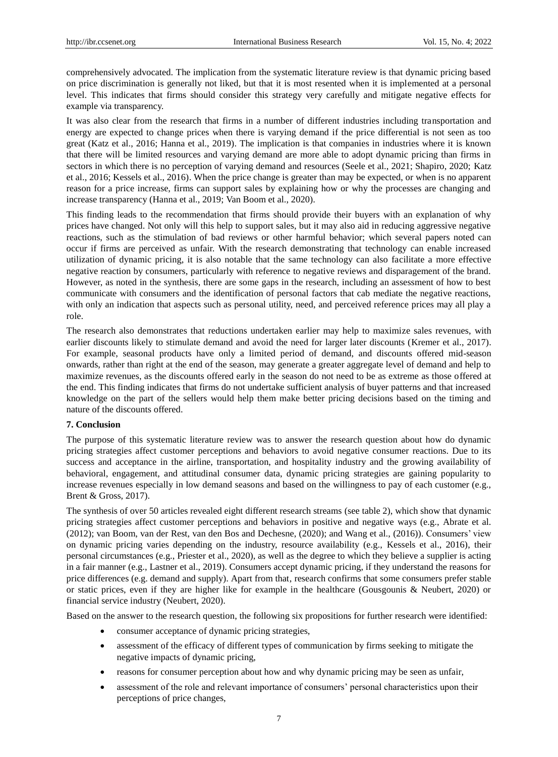comprehensively advocated. The implication from the systematic literature review is that dynamic pricing based on price discrimination is generally not liked, but that it is most resented when it is implemented at a personal level. This indicates that firms should consider this strategy very carefully and mitigate negative effects for example via transparency.

It was also clear from the research that firms in a number of different industries including transportation and energy are expected to change prices when there is varying demand if the price differential is not seen as too great (Katz et al., 2016; Hanna et al., 2019). The implication is that companies in industries where it is known that there will be limited resources and varying demand are more able to adopt dynamic pricing than firms in sectors in which there is no perception of varying demand and resources (Seele et al., 2021; Shapiro, 2020; Katz et al., 2016; Kessels et al., 2016). When the price change is greater than may be expected, or when is no apparent reason for a price increase, firms can support sales by explaining how or why the processes are changing and increase transparency (Hanna et al., 2019; Van Boom et al., 2020).

This finding leads to the recommendation that firms should provide their buyers with an explanation of why prices have changed. Not only will this help to support sales, but it may also aid in reducing aggressive negative reactions, such as the stimulation of bad reviews or other harmful behavior; which several papers noted can occur if firms are perceived as unfair. With the research demonstrating that technology can enable increased utilization of dynamic pricing, it is also notable that the same technology can also facilitate a more effective negative reaction by consumers, particularly with reference to negative reviews and disparagement of the brand. However, as noted in the synthesis, there are some gaps in the research, including an assessment of how to best communicate with consumers and the identification of personal factors that cab mediate the negative reactions, with only an indication that aspects such as personal utility, need, and perceived reference prices may all play a role.

The research also demonstrates that reductions undertaken earlier may help to maximize sales revenues, with earlier discounts likely to stimulate demand and avoid the need for larger later discounts (Kremer et al., 2017). For example, seasonal products have only a limited period of demand, and discounts offered mid-season onwards, rather than right at the end of the season, may generate a greater aggregate level of demand and help to maximize revenues, as the discounts offered early in the season do not need to be as extreme as those offered at the end. This finding indicates that firms do not undertake sufficient analysis of buyer patterns and that increased knowledge on the part of the sellers would help them make better pricing decisions based on the timing and nature of the discounts offered.

#### **7. Conclusion**

The purpose of this systematic literature review was to answer the research question about how do dynamic pricing strategies affect customer perceptions and behaviors to avoid negative consumer reactions. Due to its success and acceptance in the airline, transportation, and hospitality industry and the growing availability of behavioral, engagement, and attitudinal consumer data, dynamic pricing strategies are gaining popularity to increase revenues especially in low demand seasons and based on the willingness to pay of each customer (e.g., Brent & Gross, 2017).

The synthesis of over 50 articles revealed eight different research streams (see table 2), which show that dynamic pricing strategies affect customer perceptions and behaviors in positive and negative ways (e.g., Abrate et al. (2012); van Boom, van der Rest, van den Bos and Dechesne, (2020); and Wang et al., (2016)). Consumers' view on dynamic pricing varies depending on the industry, resource availability (e.g., Kessels et al., 2016), their personal circumstances (e.g., Priester et al., 2020), as well as the degree to which they believe a supplier is acting in a fair manner (e.g., Lastner et al., 2019). Consumers accept dynamic pricing, if they understand the reasons for price differences (e.g. demand and supply). Apart from that, research confirms that some consumers prefer stable or static prices, even if they are higher like for example in the healthcare (Gousgounis & Neubert, 2020) or financial service industry (Neubert, 2020).

Based on the answer to the research question, the following six propositions for further research were identified:

- consumer acceptance of dynamic pricing strategies,
- assessment of the efficacy of different types of communication by firms seeking to mitigate the negative impacts of dynamic pricing,
- reasons for consumer perception about how and why dynamic pricing may be seen as unfair,
- assessment of the role and relevant importance of consumers' personal characteristics upon their perceptions of price changes,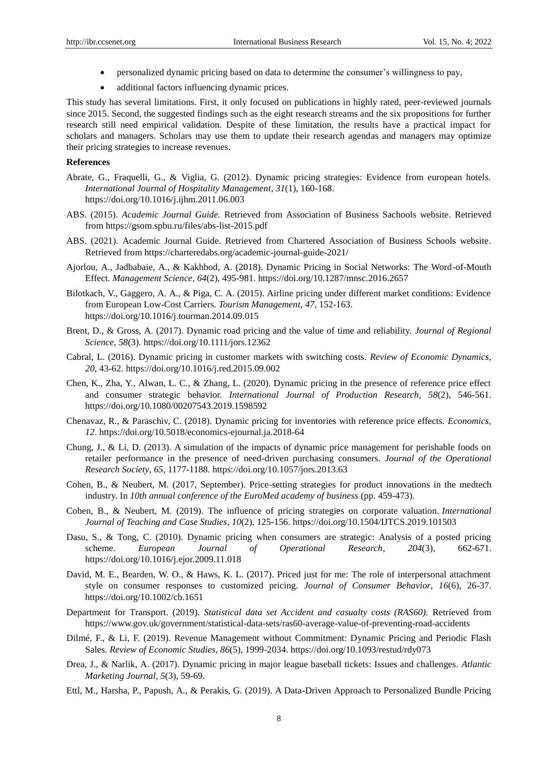- personalized dynamic pricing based on data to determine the consumer's willingness to pay,
- additional factors influencing dynamic prices.

This study has several limitations. First, it only focused on publications in highly rated, peer-reviewed journals since 2015. Second, the suggested findings such as the eight research streams and the six propositions for further research still need empirical validation. Despite of these limitation, the results have a practical impact for scholars and managers. Scholars may use them to update their research agendas and managers may optimize their pricing strategies to increase revenues.

#### **References**

- Abrate, G., Fraquelli, G., & Viglia, G. (2012). Dynamic pricing strategies: Evidence from european hotels. *International Journal of Hospitality Management*, *31*(1), 160-168. https://doi.org/10.1016/j.ijhm.2011.06.003
- ABS. (2015). *Academic Journal Guide.* Retrieved from Association of Business Sachools website. Retrieved from https://gsom.spbu.ru/files/abs-list-2015.pdf
- ABS. (2021). Academic Journal Guide. Retrieved from Chartered Association of Business Schools website. Retrieved from https://charteredabs.org/academic-journal-guide-2021/
- Ajorlou, A., Jadbabaie, A., & Kakhbod, A. (2018). Dynamic Pricing in Social Networks: The Word-of-Mouth Effect. *Management Science*, *64*(2), 495-981. https://doi.org/10.1287/mnsc.2016.2657
- Bilotkach, V., Gaggero, A. A., & Piga, C. A. (2015). Airline pricing under different market conditions: Evidence from European Low-Cost Carriers. *Tourism Management*, *47*, 152-163. https://doi.org/10.1016/j.tourman.2014.09.015
- Brent, D., & Gross, A. (2017). Dynamic road pricing and the value of time and reliability. *Journal of Regional Science*, *58*(3). https://doi.org/10.1111/jors.12362
- Cabral, L. (2016). Dynamic pricing in customer markets with switching costs. *Review of Economic Dynamics*, *20*, 43-62. https://doi.org/10.1016/j.red.2015.09.002
- Chen, K., Zha, Y., Alwan, L. C., & Zhang, L. (2020). Dynamic pricing in the presence of reference price effect and consumer strategic behavior. *International Journal of Production Research*, *58*(2), 546-561. https://doi.org/10.1080/00207543.2019.1598592
- Chenavaz, R., & Paraschiv, C. (2018). Dynamic pricing for inventories with reference price effects. *Economics*, *12*. https://doi.org/10.5018/economics-ejournal.ja.2018-64
- Chung, J., & Li, D. (2013). A simulation of the impacts of dynamic price management for perishable foods on retailer performance in the presence of need-driven purchasing consumers. *Journal of the Operational Research Society*, *65*, 1177-1188. https://doi.org/10.1057/jors.2013.63
- Cohen, B., & Neubert, M. (2017, September). Price-setting strategies for product innovations in the medtech industry. In *10th annual conference of the EuroMed academy of business* (pp. 459-473).
- Cohen, B., & Neubert, M. (2019). The influence of pricing strategies on corporate valuation. *International Journal of Teaching and Case Studies*, *10*(2), 125-156. https://doi.org/10.1504/IJTCS.2019.101503
- Dasu, S., & Tong, C. (2010). Dynamic pricing when consumers are strategic: Analysis of a posted pricing scheme. *European Journal of Operational Research*, *204*(3), 662-671. https://doi.org/10.1016/j.ejor.2009.11.018
- David, M. E., Bearden, W. O., & Haws, K. L. (2017). Priced just for me: The role of interpersonal attachment style on consumer responses to customized pricing. *Journal of Consumer Behavior*, *16*(6), 26-37. https://doi.org/10.1002/cb.1651
- Department for Transport. (2019). *Statistical data set Accident and casualty costs (RAS60).* Retrieved from https://www.gov.uk/government/statistical-data-sets/ras60-average-value-of-preventing-road-accidents
- Dilmé, F., & Li, F. (2019). Revenue Management without Commitment: Dynamic Pricing and Periodic Flash Sales. *Review of Economic Studies*, *86*(5), 1999-2034. https://doi.org/10.1093/restud/rdy073
- Drea, J., & Narlik, A. (2017). Dynamic pricing in major league baseball tickets: Issues and challenges. *Atlantic Marketing Journal*, *5*(3), 59-69.
- Ettl, M., Harsha, P., Papush, A., & Perakis, G. (2019). A Data-Driven Approach to Personalized Bundle Pricing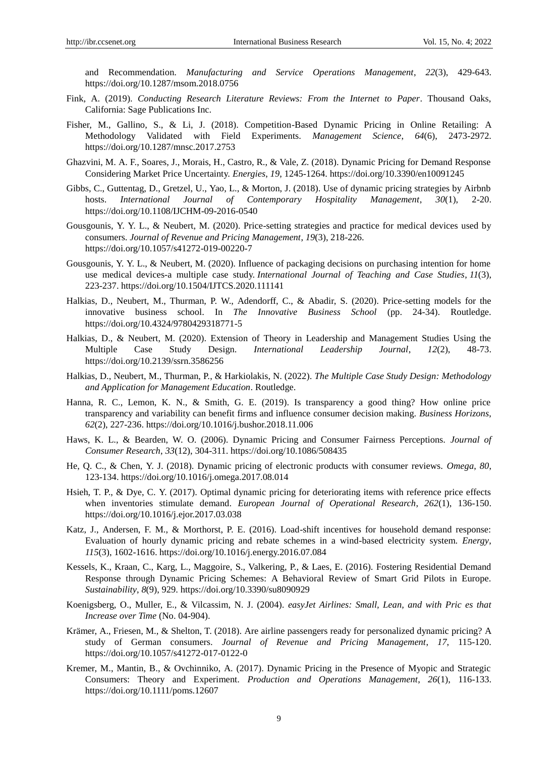and Recommendation. *Manufacturing and Service Operations Management*, *22*(3), 429-643. https://doi.org/10.1287/msom.2018.0756

- Fink, A. (2019). *Conducting Research Literature Reviews: From the Internet to Paper*. Thousand Oaks, California: Sage Publications Inc.
- Fisher, M., Gallino, S., & Li, J. (2018). Competition-Based Dynamic Pricing in Online Retailing: A Methodology Validated with Field Experiments. *Management Science*, *64*(6), 2473-2972. https://doi.org/10.1287/mnsc.2017.2753
- Ghazvini, M. A. F., Soares, J., Morais, H., Castro, R., & Vale, Z. (2018). Dynamic Pricing for Demand Response Considering Market Price Uncertainty. *Energies*, *19*, 1245-1264. https://doi.org/10.3390/en10091245
- Gibbs, C., Guttentag, D., Gretzel, U., Yao, L., & Morton, J. (2018). Use of dynamic pricing strategies by Airbnb hosts. *International Journal of Contemporary Hospitality Management*, *30*(1), 2-20. https://doi.org/10.1108/IJCHM-09-2016-0540
- Gousgounis, Y. Y. L., & Neubert, M. (2020). Price-setting strategies and practice for medical devices used by consumers. *Journal of Revenue and Pricing Management*, *19*(3), 218-226. https://doi.org/10.1057/s41272-019-00220-7
- Gousgounis, Y. Y. L., & Neubert, M. (2020). Influence of packaging decisions on purchasing intention for home use medical devices-a multiple case study. *International Journal of Teaching and Case Studies*, *11*(3), 223-237. https://doi.org/10.1504/IJTCS.2020.111141
- Halkias, D., Neubert, M., Thurman, P. W., Adendorff, C., & Abadir, S. (2020). Price-setting models for the innovative business school. In *The Innovative Business School* (pp. 24-34). Routledge. https://doi.org/10.4324/9780429318771-5
- Halkias, D., & Neubert, M. (2020). Extension of Theory in Leadership and Management Studies Using the Multiple Case Study Design. *International Leadership Journal*, *12*(2), 48-73. https://doi.org/10.2139/ssrn.3586256
- Halkias, D., Neubert, M., Thurman, P., & Harkiolakis, N. (2022). *The Multiple Case Study Design: Methodology and Application for Management Education*. Routledge.
- Hanna, R. C., Lemon, K. N., & Smith, G. E. (2019). Is transparency a good thing? How online price transparency and variability can benefit firms and influence consumer decision making. *Business Horizons*, *62*(2), 227-236. https://doi.org/10.1016/j.bushor.2018.11.006
- Haws, K. L., & Bearden, W. O. (2006). Dynamic Pricing and Consumer Fairness Perceptions. *Journal of Consumer Research*, *33*(12), 304-311. https://doi.org/10.1086/508435
- He, Q. C., & Chen, Y. J. (2018). Dynamic pricing of electronic products with consumer reviews. *Omega*, *80*, 123-134. https://doi.org/10.1016/j.omega.2017.08.014
- Hsieh, T. P., & Dye, C. Y. (2017). Optimal dynamic pricing for deteriorating items with reference price effects when inventories stimulate demand. *European Journal of Operational Research*, *262*(1), 136-150. https://doi.org/10.1016/j.ejor.2017.03.038
- Katz, J., Andersen, F. M., & Morthorst, P. E. (2016). Load-shift incentives for household demand response: Evaluation of hourly dynamic pricing and rebate schemes in a wind-based electricity system. *Energy*, *115*(3), 1602-1616. https://doi.org/10.1016/j.energy.2016.07.084
- Kessels, K., Kraan, C., Karg, L., Maggoire, S., Valkering, P., & Laes, E. (2016). Fostering Residential Demand Response through Dynamic Pricing Schemes: A Behavioral Review of Smart Grid Pilots in Europe. *Sustainability*, *8*(9), 929. https://doi.org/10.3390/su8090929
- Koenigsberg, O., Muller, E., & Vilcassim, N. J. (2004). *easyJet Airlines: Small, Lean, and with Pric es that Increase over Time* (No. 04-904).
- Krämer, A., Friesen, M., & Shelton, T. (2018). Are airline passengers ready for personalized dynamic pricing? A study of German consumers. *Journal of Revenue and Pricing Management*, *17*, 115-120. https://doi.org/10.1057/s41272-017-0122-0
- Kremer, M., Mantin, B., & Ovchinniko, A. (2017). Dynamic Pricing in the Presence of Myopic and Strategic Consumers: Theory and Experiment. *Production and Operations Management*, *26*(1), 116-133. https://doi.org/10.1111/poms.12607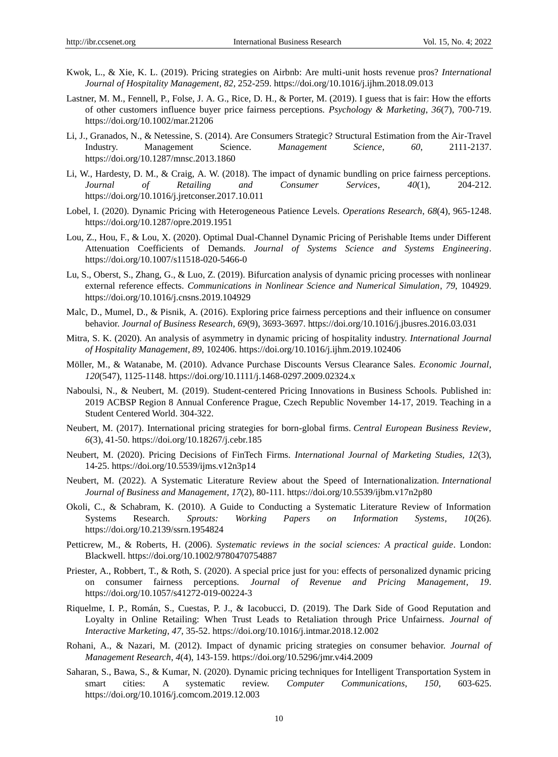- Kwok, L., & Xie, K. L. (2019). Pricing strategies on Airbnb: Are multi-unit hosts revenue pros? *International Journal of Hospitality Management*, *82*, 252-259. https://doi.org/10.1016/j.ijhm.2018.09.013
- Lastner, M. M., Fennell, P., Folse, J. A. G., Rice, D. H., & Porter, M. (2019). I guess that is fair: How the efforts of other customers influence buyer price fairness perceptions. *Psychology & Marketing*, *36*(7), 700-719. https://doi.org/10.1002/mar.21206
- Li, J., Granados, N., & Netessine, S. (2014). Are Consumers Strategic? Structural Estimation from the Air-Travel Industry. Management Science. *Management Science*, *60*, 2111-2137. https://doi.org/10.1287/mnsc.2013.1860
- Li, W., Hardesty, D. M., & Craig, A. W. (2018). The impact of dynamic bundling on price fairness perceptions. *Journal of Retailing and Consumer Services*, *40*(1), 204-212. https://doi.org/10.1016/j.jretconser.2017.10.011
- Lobel, I. (2020). Dynamic Pricing with Heterogeneous Patience Levels. *Operations Research*, *68*(4), 965-1248. https://doi.org/10.1287/opre.2019.1951
- Lou, Z., Hou, F., & Lou, X. (2020). Optimal Dual-Channel Dynamic Pricing of Perishable Items under Different Attenuation Coefficients of Demands. *Journal of Systems Science and Systems Engineering*. https://doi.org/10.1007/s11518-020-5466-0
- Lu, S., Oberst, S., Zhang, G., & Luo, Z. (2019). Bifurcation analysis of dynamic pricing processes with nonlinear external reference effects. *Communications in Nonlinear Science and Numerical Simulation*, *79*, 104929. https://doi.org/10.1016/j.cnsns.2019.104929
- Malc, D., Mumel, D., & Pisnik, A. (2016). Exploring price fairness perceptions and their influence on consumer behavior. *Journal of Business Research*, *69*(9), 3693-3697. https://doi.org/10.1016/j.jbusres.2016.03.031
- Mitra, S. K. (2020). An analysis of asymmetry in dynamic pricing of hospitality industry. *International Journal of Hospitality Management*, *89*, 102406. https://doi.org/10.1016/j.ijhm.2019.102406
- Möller, M., & Watanabe, M. (2010). Advance Purchase Discounts Versus Clearance Sales. *Economic Journal*, *120*(547), 1125-1148. https://doi.org/10.1111/j.1468-0297.2009.02324.x
- Naboulsi, N., & Neubert, M. (2019). Student-centered Pricing Innovations in Business Schools. Published in: 2019 ACBSP Region 8 Annual Conference Prague, Czech Republic November 14-17, 2019. Teaching in a Student Centered World. 304-322.
- Neubert, M. (2017). International pricing strategies for born-global firms. *Central European Business Review*, *6*(3), 41-50. https://doi.org/10.18267/j.cebr.185
- Neubert, M. (2020). Pricing Decisions of FinTech Firms. *International Journal of Marketing Studies, 12*(3), 14-25. https://doi.org/10.5539/ijms.v12n3p14
- Neubert, M. (2022). A Systematic Literature Review about the Speed of Internationalization. *International Journal of Business and Management*, *17*(2), 80-111. https://doi.org/10.5539/ijbm.v17n2p80
- Okoli, C., & Schabram, K. (2010). A Guide to Conducting a Systematic Literature Review of Information Systems Research. *Sprouts: Working Papers on Information Systems*, *10*(26). https://doi.org/10.2139/ssrn.1954824
- Petticrew, M., & Roberts, H. (2006). *Systematic reviews in the social sciences: A practical guide*. London: Blackwell. https://doi.org/10.1002/9780470754887
- Priester, A., Robbert, T., & Roth, S. (2020). A special price just for you: effects of personalized dynamic pricing on consumer fairness perceptions. *Journal of Revenue and Pricing Management*, *19*. https://doi.org/10.1057/s41272-019-00224-3
- Riquelme, I. P., Román, S., Cuestas, P. J., & Iacobucci, D. (2019). The Dark Side of Good Reputation and Loyalty in Online Retailing: When Trust Leads to Retaliation through Price Unfairness. *Journal of Interactive Marketing*, *47*, 35-52. https://doi.org/10.1016/j.intmar.2018.12.002
- Rohani, A., & Nazari, M. (2012). Impact of dynamic pricing strategies on consumer behavior. *Journal of Management Research*, *4*(4), 143-159. https://doi.org/10.5296/jmr.v4i4.2009
- Saharan, S., Bawa, S., & Kumar, N. (2020). Dynamic pricing techniques for Intelligent Transportation System in smart cities: A systematic review. *Computer Communications*, *150*, 603-625. https://doi.org/10.1016/j.comcom.2019.12.003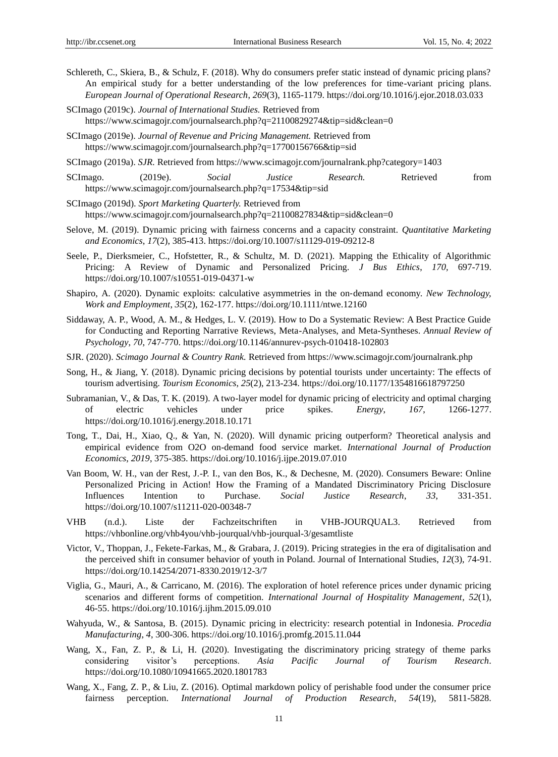- Schlereth, C., Skiera, B., & Schulz, F. (2018). Why do consumers prefer static instead of dynamic pricing plans? An empirical study for a better understanding of the low preferences for time-variant pricing plans. *European Journal of Operational Research*, *269*(3), 1165-1179. https://doi.org/10.1016/j.ejor.2018.03.033
- SCImago (2019c). *Journal of International Studies.* Retrieved from https://www.scimagojr.com/journalsearch.php?q=21100829274&tip=sid&clean=0
- SCImago (2019e). *Journal of Revenue and Pricing Management.* Retrieved from https://www.scimagojr.com/journalsearch.php?q=17700156766&tip=sid
- SCImago (2019a). *SJR.* Retrieved from https://www.scimagojr.com/journalrank.php?category=1403
- SCImago. (2019e). *Social Justice Research.* Retrieved from https://www.scimagojr.com/journalsearch.php?q=17534&tip=sid
- SCImago (2019d). *Sport Marketing Quarterly.* Retrieved from https://www.scimagojr.com/journalsearch.php?q=21100827834&tip=sid&clean=0
- Selove, M. (2019). Dynamic pricing with fairness concerns and a capacity constraint. *Quantitative Marketing and Economics*, *17*(2), 385-413. https://doi.org/10.1007/s11129-019-09212-8
- Seele, P., Dierksmeier, C., Hofstetter, R., & Schultz, M. D. (2021). Mapping the Ethicality of Algorithmic Pricing: A Review of Dynamic and Personalized Pricing. *J Bus Ethics*, *170,* 697-719. https://doi.org/10.1007/s10551-019-04371-w
- Shapiro, A. (2020). Dynamic exploits: calculative asymmetries in the on‐demand economy. *New Technology, Work and Employment*, *35*(2), 162-177. https://doi.org/10.1111/ntwe.12160
- Siddaway, A. P., Wood, A. M., & Hedges, L. V. (2019). How to Do a Systematic Review: A Best Practice Guide for Conducting and Reporting Narrative Reviews, Meta-Analyses, and Meta-Syntheses. *Annual Review of Psychology*, *70*, 747-770. https://doi.org/10.1146/annurev-psych-010418-102803
- SJR. (2020). *Scimago Journal & Country Rank.* Retrieved from https://www.scimagojr.com/journalrank.php
- Song, H., & Jiang, Y. (2018). Dynamic pricing decisions by potential tourists under uncertainty: The effects of tourism advertising. *Tourism Economics*, *25*(2), 213-234. https://doi.org/10.1177/1354816618797250
- Subramanian, V., & Das, T. K. (2019). A two-layer model for dynamic pricing of electricity and optimal charging of electric vehicles under price spikes. *Energy*, *167*, 1266-1277. https://doi.org/10.1016/j.energy.2018.10.171
- Tong, T., Dai, H., Xiao, Q., & Yan, N. (2020). Will dynamic pricing outperform? Theoretical analysis and empirical evidence from O2O on-demand food service market. *International Journal of Production Economics*, *2019*, 375-385. https://doi.org/10.1016/j.ijpe.2019.07.010
- Van Boom, W. H., van der Rest, J.-P. I., van den Bos, K., & Dechesne, M. (2020). Consumers Beware: Online Personalized Pricing in Action! How the Framing of a Mandated Discriminatory Pricing Disclosure Influences Intention to Purchase. *Social Justice Research*, *33*, 331-351. https://doi.org/10.1007/s11211-020-00348-7
- VHB (n.d.). Liste der Fachzeitschriften in VHB-JOURQUAL3. Retrieved from https://vhbonline.org/vhb4you/vhb-jourqual/vhb-jourqual-3/gesamtliste
- Victor, V., Thoppan, J., Fekete-Farkas, M., & Grabara, J. (2019). Pricing strategies in the era of digitalisation and the perceived shift in consumer behavior of youth in Poland. Journal of International Studies, *12*(3), 74-91. https://doi.org/10.14254/2071-8330.2019/12-3/7
- Viglia, G., Mauri, A., & Carricano, M. (2016). The exploration of hotel reference prices under dynamic pricing scenarios and different forms of competition. *International Journal of Hospitality Management*, *52*(1), 46-55. https://doi.org/10.1016/j.ijhm.2015.09.010
- Wahyuda, W., & Santosa, B. (2015). Dynamic pricing in electricity: research potential in Indonesia. *Procedia Manufacturing*, *4*, 300-306. https://doi.org/10.1016/j.promfg.2015.11.044
- Wang, X., Fan, Z. P., & Li, H. (2020). Investigating the discriminatory pricing strategy of theme parks considering visitor's perceptions. *Asia Pacific Journal of Tourism Research*. https://doi.org/10.1080/10941665.2020.1801783
- Wang, X., Fang, Z. P., & Liu, Z. (2016). Optimal markdown policy of perishable food under the consumer price fairness perception. *International Journal of Production Research*, *54*(19), 5811-5828.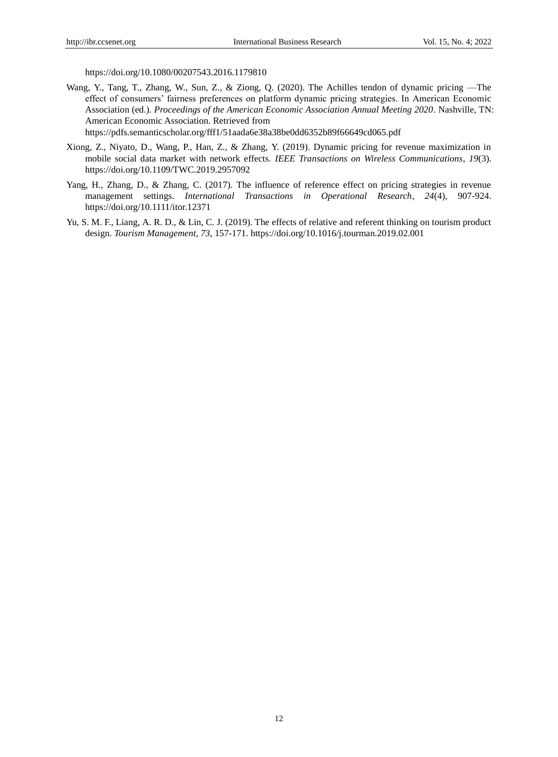https://doi.org/10.1080/00207543.2016.1179810

Wang, Y., Tang, T., Zhang, W., Sun, Z., & Ziong, Q. (2020). The Achilles tendon of dynamic pricing —The effect of consumers' fairness preferences on platform dynamic pricing strategies. In American Economic Association (ed.). *Proceedings of the American Economic Association Annual Meeting 2020*. Nashville, TN: American Economic Association. Retrieved from

https://pdfs.semanticscholar.org/fff1/51aada6e38a38be0dd6352b89f66649cd065.pdf

- Xiong, Z., Niyato, D., Wang, P., Han, Z., & Zhang, Y. (2019). Dynamic pricing for revenue maximization in mobile social data market with network effects. *IEEE Transactions on Wireless Communications*, *19*(3). https://doi.org/10.1109/TWC.2019.2957092
- Yang, H., Zhang, D., & Zhang, C. (2017). The influence of reference effect on pricing strategies in revenue management settings. *International Transactions in Operational Research*, *24*(4), 907-924. https://doi.org/10.1111/itor.12371
- Yu, S. M. F., Liang, A. R. D., & Lin, C. J. (2019). The effects of relative and referent thinking on tourism product design. *Tourism Management*, *73*, 157-171. https://doi.org/10.1016/j.tourman.2019.02.001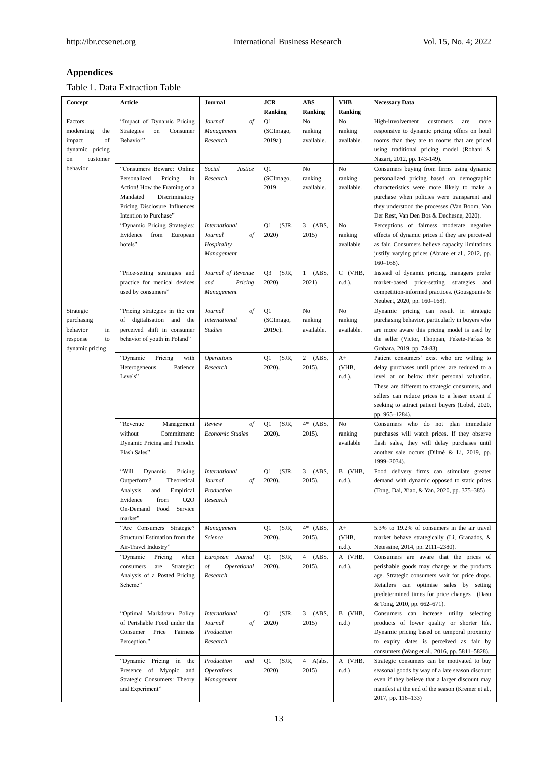# **Appendices**

Table 1. Data Extraction Table

| Concept                                                                           | Article                                                                                                                                                                             | Journal                                                            | <b>JCR</b><br><b>Ranking</b>     | ABS<br>Ranking                       | <b>VHB</b><br>Ranking       | <b>Necessary Data</b>                                                                                                                                                                                                                                                                                                  |
|-----------------------------------------------------------------------------------|-------------------------------------------------------------------------------------------------------------------------------------------------------------------------------------|--------------------------------------------------------------------|----------------------------------|--------------------------------------|-----------------------------|------------------------------------------------------------------------------------------------------------------------------------------------------------------------------------------------------------------------------------------------------------------------------------------------------------------------|
| Factors<br>moderating<br>the<br>of<br>impact<br>dynamic pricing<br>on<br>customer | "Impact of Dynamic Pricing<br>Strategies<br>Consumer<br>on<br>Behavior"                                                                                                             | Journal<br>of<br>Management<br>Research                            | Q1<br>(SCImago,<br>2019a).       | No<br>ranking<br>available.          | No<br>ranking<br>available. | High-involvement<br>customers<br>are<br>more<br>responsive to dynamic pricing offers on hotel<br>rooms than they are to rooms that are priced<br>using traditional pricing model (Rohani &<br>Nazari, 2012, pp. 143-149).                                                                                              |
| behavior                                                                          | "Consumers Beware: Online<br>Personalized<br>Pricing<br>in<br>Action! How the Framing of a<br>Mandated<br>Discriminatory<br>Pricing Disclosure Influences<br>Intention to Purchase" | Social<br>Justice<br>Research                                      | Q1<br>(SCImago,<br>2019          | No<br>ranking<br>available.          | No<br>ranking<br>available. | Consumers buying from firms using dynamic<br>personalized pricing based on demographic<br>characteristics were more likely to make a<br>purchase when policies were transparent and<br>they understood the processes (Van Boom, Van<br>Der Rest, Van Den Bos & Dechesne, 2020).                                        |
|                                                                                   | "Dynamic Pricing Strategies:<br>Evidence<br>from<br>European<br>hotels"                                                                                                             | <b>International</b><br>Journal<br>of<br>Hospitality<br>Management | (SJR,<br>Q1<br>2020)             | 3<br>(ABS,<br>2015)                  | No<br>ranking<br>available  | Perceptions of fairness moderate negative<br>effects of dynamic prices if they are perceived<br>as fair. Consumers believe capacity limitations<br>justify varying prices (Abrate et al., 2012, pp.<br>$160 - 168$ ).                                                                                                  |
|                                                                                   | "Price-setting strategies and<br>practice for medical devices<br>used by consumers"                                                                                                 | Journal of Revenue<br>and<br>Pricing<br>Management                 | (SJR,<br>Q <sub>3</sub><br>2020) | $1$ (ABS,<br>2021)                   | C (VHB,<br>n.d.).           | Instead of dynamic pricing, managers prefer<br>market-based price-setting strategies and<br>competition-informed practices. (Gousgounis &<br>Neubert, 2020, pp. 160-168).                                                                                                                                              |
| Strategic<br>purchasing<br>behavior<br>in<br>response<br>to<br>dynamic pricing    | "Pricing strategies in the era<br>of digitalisation and the<br>perceived shift in consumer<br>behavior of youth in Poland"                                                          | Journal<br>of<br><b>International</b><br><b>Studies</b>            | Q1<br>(SCImago,<br>2019c).       | No<br>ranking<br>available.          | No<br>ranking<br>available. | Dynamic pricing can result in strategic<br>purchasing behavior, particularly in buyers who<br>are more aware this pricing model is used by<br>the seller (Victor, Thoppan, Fekete-Farkas &<br>Grabara, 2019, pp. 74-83)                                                                                                |
|                                                                                   | "Dynamic<br>with<br>Pricing<br>Heterogeneous<br>Patience<br>Levels"                                                                                                                 | <i><b>Operations</b></i><br>Research                               | (SJR,<br>Q1<br>2020).            | $2$ (ABS,<br>2015).                  | $A+$<br>(VHB,<br>n.d.).     | Patient consumers' exist who are willing to<br>delay purchases until prices are reduced to a<br>level at or below their personal valuation.<br>These are different to strategic consumers, and<br>sellers can reduce prices to a lesser extent if<br>seeking to attract patient buyers (Lobel, 2020,<br>pp. 965-1284). |
|                                                                                   | "Revenue<br>Management<br>without<br>Commitment:<br>Dynamic Pricing and Periodic<br>Flash Sales"                                                                                    | of<br>Review<br>Economic Studies                                   | (SJR,<br>Q1<br>2020).            | $4*$ (ABS,<br>2015).                 | No<br>ranking<br>available  | Consumers who do not plan immediate<br>purchases will watch prices. If they observe<br>flash sales, they will delay purchases until<br>another sale occurs (Dilmé & Li, 2019, pp.<br>1999-2034).                                                                                                                       |
|                                                                                   | "Will<br>Dynamic<br>Pricing<br>Outperform?<br>Theoretical<br>Analysis<br>and<br>Empirical<br>Evidence<br>from<br>020<br>On-Demand Food Service<br>market"                           | <i>International</i><br>Journal<br>οf<br>Production<br>Research    | (SJR,<br>Q1<br>2020).            | $3$ (ABS,<br>2015).                  | B (VHB,<br>n.d.).           | Food delivery firms can stimulate greater<br>demand with dynamic opposed to static prices<br>(Tong, Dai, Xiao, & Yan, 2020, pp. 375-385)                                                                                                                                                                               |
|                                                                                   | "Are Consumers Strategic?<br>Structural Estimation from the<br>Air-Travel Industry"                                                                                                 | Management<br>Science                                              | (SJR,<br>Q1<br>2020).            | $4*$ (ABS,<br>$2015$ ).              | $A+$<br>(VHB,<br>n.d.).     | 5.3% to 19.2% of consumers in the air travel<br>market behave strategically (Li, Granados, &<br>Netessine, 2014, pp. 2111-2380).                                                                                                                                                                                       |
|                                                                                   | "Dynamic<br>Pricing<br>when<br>consumers<br>are<br>Strategic:<br>Analysis of a Posted Pricing<br>Scheme"                                                                            | European Journal<br>of<br>Operational<br>Research                  | Q1<br>(SJR,<br>2020).            | $\overline{4}$<br>(ABS,<br>$2015$ ). | A (VHB,<br>n.d.).           | Consumers are aware that the prices of<br>perishable goods may change as the products<br>age. Strategic consumers wait for price drops.<br>Retailers can optimise sales by setting<br>predetermined times for price changes (Dasu<br>& Tong, 2010, pp. 662-671).                                                       |
|                                                                                   | "Optimal Markdown Policy<br>of Perishable Food under the<br>Consumer<br>Price<br>Fairness<br>Perception."                                                                           | <i>International</i><br>Journal<br>of<br>Production<br>Research    | (SJR,<br>Q1<br>2020)             | 3<br>(ABS,<br>2015)                  | B (VHB,<br>$n.d.$ )         | Consumers can increase utility selecting<br>products of lower quality or shorter life.<br>Dynamic pricing based on temporal proximity<br>to expiry dates is perceived as fair by<br>consumers (Wang et al., 2016, pp. 5811-5828).                                                                                      |
|                                                                                   | "Dynamic Pricing in the<br>Presence of Myopic and<br>Strategic Consumers: Theory<br>and Experiment"                                                                                 | Production<br>and<br><b>Operations</b><br>Management               | (SJR,<br>Q1<br>2020)             | 4 A(abs,<br>2015)                    | A (VHB,<br>n.d.)            | Strategic consumers can be motivated to buy<br>seasonal goods by way of a late season discount<br>even if they believe that a larger discount may<br>manifest at the end of the season (Kremer et al.,<br>2017, pp. 116–133)                                                                                           |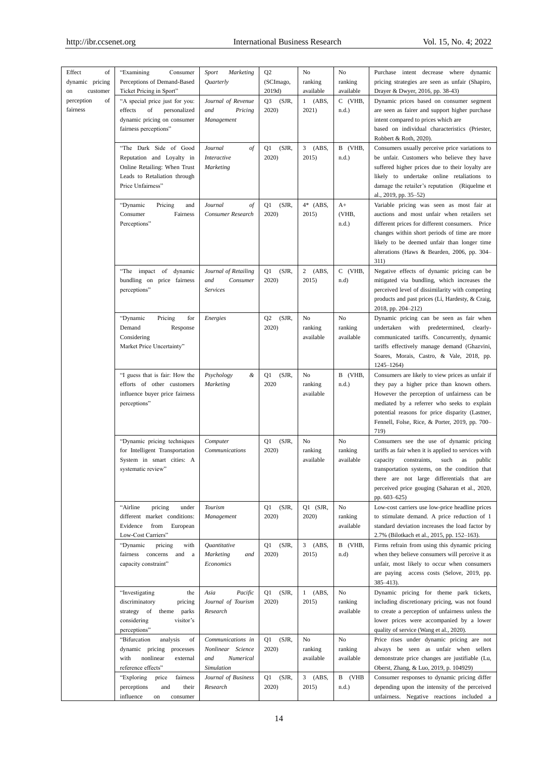| Effect<br>of<br>dynamic pricing<br>customer<br>on<br>perception<br>of | "Examining<br>Consumer<br>Perceptions of Demand-Based<br>Ticket Pricing in Sport"<br>"A special price just for you:                      | Sport<br><b>Marketing</b><br><i><b>Ouarterly</b></i><br>Journal of Revenue | Q <sub>2</sub><br>(SCImago,<br>2019d)<br>(SJR,<br>Q3 | No<br>ranking<br>available<br>$1$ (ABS, | No<br>ranking<br>available<br>C (VHB, | Purchase intent decrease where dynamic<br>pricing strategies are seen as unfair (Shapiro,<br>Drayer & Dwyer, 2016, pp. 38-43)<br>Dynamic prices based on consumer segment                                                                                                                                            |
|-----------------------------------------------------------------------|------------------------------------------------------------------------------------------------------------------------------------------|----------------------------------------------------------------------------|------------------------------------------------------|-----------------------------------------|---------------------------------------|----------------------------------------------------------------------------------------------------------------------------------------------------------------------------------------------------------------------------------------------------------------------------------------------------------------------|
| fairness                                                              | personalized<br>effects<br>of<br>dynamic pricing on consumer<br>fairness perceptions"                                                    | and<br>Pricing<br>Management                                               | 2020)                                                | 2021)                                   | $n.d.$ )                              | are seen as fairer and support higher purchase<br>intent compared to prices which are<br>based on individual characteristics (Priester,<br>Robbert & Roth, 2020).                                                                                                                                                    |
|                                                                       | "The Dark Side of Good<br>Reputation and Loyalty in<br>Online Retailing: When Trust<br>Leads to Retaliation through<br>Price Unfairness" | Journal<br>of<br>Interactive<br><b>Marketing</b>                           | (SJR,<br>Q1<br>2020)                                 | $\overline{3}$<br>(ABS,<br>2015)        | B (VHB,<br>$n.d.$ )                   | Consumers usually perceive price variations to<br>be unfair. Customers who believe they have<br>suffered higher prices due to their loyalty are<br>likely to undertake online retaliations to<br>damage the retailer's reputation (Riquelme et<br>al., 2019, pp. 35-52)                                              |
|                                                                       | "Dynamic<br>Pricing<br>and<br>Consumer<br>Fairness<br>Perceptions"                                                                       | Journal<br>$\sigma f$<br>Consumer Research                                 | (SJR,<br>Q1<br>2020)                                 | $4*$ (ABS,<br>2015)                     | $A+$<br>(VHB,<br>$n.d.$ )             | Variable pricing was seen as most fair at<br>auctions and most unfair when retailers set<br>different prices for different consumers. Price<br>changes within short periods of time are more<br>likely to be deemed unfair than longer time<br>alterations (Haws & Bearden, 2006, pp. 304–<br>311)                   |
|                                                                       | "The impact of dynamic<br>bundling on price fairness<br>perceptions"                                                                     | Journal of Retailing<br>and<br>Consumer<br>Services                        | (SJR,<br>Q1<br>2020)                                 | $2$ (ABS,<br>2015)                      | C (VHB,<br>n.d)                       | Negative effects of dynamic pricing can be<br>mitigated via bundling, which increases the<br>perceived level of dissimilarity with competing<br>products and past prices (Li, Hardesty, & Craig,<br>2018, pp. 204-212)                                                                                               |
|                                                                       | Pricing<br>"Dynamic<br>for<br>Demand<br>Response<br>Considering<br>Market Price Uncertainty"                                             | Energies                                                                   | Q2<br>(SJR,<br>2020)                                 | No<br>ranking<br>available              | No<br>ranking<br>available            | Dynamic pricing can be seen as fair when<br>undertaken with predetermined,<br>clearly-<br>communicated tariffs. Concurrently, dynamic<br>tariffs effectively manage demand (Ghazvini,<br>Soares, Morais, Castro, & Vale, 2018, pp.<br>$1245 - 1264$                                                                  |
|                                                                       | "I guess that is fair: How the<br>efforts of other customers<br>influence buyer price fairness<br>perceptions"                           | Psychology<br>&<br><b>Marketing</b>                                        | (SJR,<br>Q1<br>2020                                  | No<br>ranking<br>available              | B (VHB,<br>$n.d.$ )                   | Consumers are likely to view prices as unfair if<br>they pay a higher price than known others.<br>However the perception of unfairness can be<br>mediated by a referrer who seeks to explain<br>potential reasons for price disparity (Lastner,<br>Fennell, Folse, Rice, & Porter, 2019, pp. 700-<br>719)            |
|                                                                       | "Dynamic pricing techniques<br>for Intelligent Transportation<br>System in smart cities: A<br>systematic review"                         | Computer<br>Communications                                                 | (SJR,<br>Q1<br>2020)                                 | No<br>ranking<br>available              | No<br>ranking<br>available            | Consumers see the use of dynamic pricing<br>tariffs as fair when it is applied to services with<br>capacity<br>constraints,<br>such<br>as<br>public<br>transportation systems, on the condition that<br>there are not large differentials that are<br>perceived price gouging (Saharan et al., 2020,<br>pp. 603-625) |
|                                                                       | "Airline<br>pricing<br>under<br>different market conditions:<br>Evidence<br>from<br>European<br>Low-Cost Carriers"                       | Tourism<br>Management                                                      | (SJR,<br>Q1<br>2020)                                 | Q1 (SJR,<br>2020)                       | No<br>ranking<br>available            | Low-cost carriers use low-price headline prices<br>to stimulate demand. A price reduction of 1<br>standard deviation increases the load factor by<br>2.7% (Bilotkach et al., 2015, pp. 152–163).                                                                                                                     |
|                                                                       | "Dynamic<br>pricing<br>with<br>fairness concerns<br>and a<br>capacity constraint"                                                        | Quantitative<br>Marketing<br>and<br>Economics                              | (SJR,<br>Q1<br>2020)                                 | $3$ (ABS,<br>2015)                      | B (VHB,<br>$n.d$ )                    | Firms refrain from using this dynamic pricing<br>when they believe consumers will perceive it as<br>unfair, most likely to occur when consumers<br>are paying access costs (Selove, 2019, pp.<br>$385 - 413$ ).                                                                                                      |
|                                                                       | "Investigating<br>the<br>discriminatory<br>pricing<br>strategy of<br>theme<br>parks<br>considering<br>visitor's<br>perceptions"          | Asia<br>Pacific<br>Journal of Tourism<br>Research                          | Q1<br>(SJR,<br>2020)                                 | 1<br>(ABS,<br>2015)                     | No<br>ranking<br>available            | Dynamic pricing for theme park tickets,<br>including discretionary pricing, was not found<br>to create a perception of unfairness unless the<br>lower prices were accompanied by a lower<br>quality of service (Wang et al., 2020).                                                                                  |
|                                                                       | "Bifurcation<br>analysis<br>of<br>dynamic pricing<br>processes<br>with<br>nonlinear<br>external<br>reference effects"                    | Communications in<br>Nonlinear Science<br>and<br>Numerical<br>Simulation   | (SJR,<br>Q1<br>2020)                                 | No<br>ranking<br>available              | No<br>ranking<br>available            | Price rises under dynamic pricing are not<br>always be seen as unfair when sellers<br>demonstrate price changes are justifiable (Lu,<br>Oberst, Zhang, & Luo, 2019, p. 104929)                                                                                                                                       |
|                                                                       | "Exploring<br>fairness<br>price<br>perceptions<br>and<br>their<br>influence<br>consumer<br>on                                            | Journal of Business<br>Research                                            | (SJR,<br>Q1<br>2020)                                 | $3$ (ABS,<br>2015)                      | B (VHB<br>$n.d.$ )                    | Consumer responses to dynamic pricing differ<br>depending upon the intensity of the perceived<br>unfairness. Negative reactions included a                                                                                                                                                                           |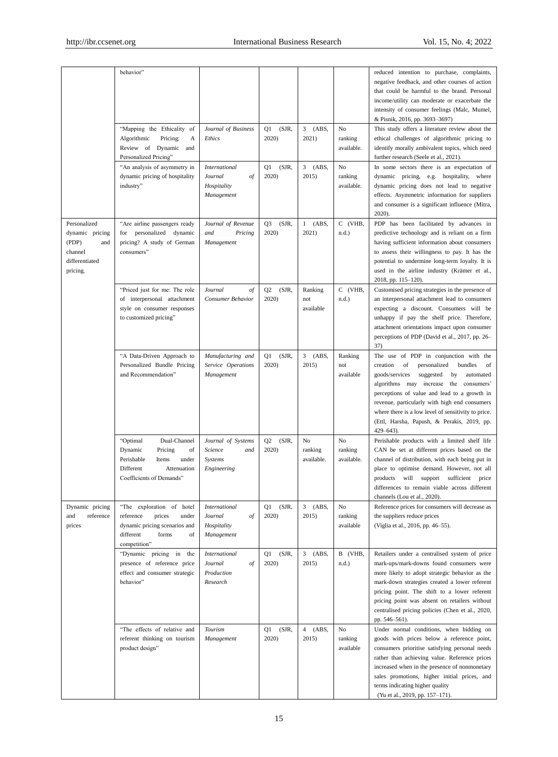|                                                                                          | behavior"                                                                                                                                    |                                                                            |                                  |                                  |                             | reduced intention to purchase, complaints,<br>negative feedback, and other courses of action<br>that could be harmful to the brand. Personal<br>income/utility can moderate or exacerbate the<br>intensity of consumer feelings (Malc, Mumel,<br>& Pisnik, 2016, pp. 3693-3697)                                                                                                                                |
|------------------------------------------------------------------------------------------|----------------------------------------------------------------------------------------------------------------------------------------------|----------------------------------------------------------------------------|----------------------------------|----------------------------------|-----------------------------|----------------------------------------------------------------------------------------------------------------------------------------------------------------------------------------------------------------------------------------------------------------------------------------------------------------------------------------------------------------------------------------------------------------|
|                                                                                          | "Mapping the Ethicality of<br>Algorithmic<br>Pricing:<br>А<br>Review of Dynamic<br>and<br>Personalized Pricing"                              | Journal of Business<br>Ethics                                              | Q1<br>(SJR,<br>2020)             | $\mathbf{3}$<br>(ABS,<br>2021)   | No<br>ranking<br>available. | This study offers a literature review about the<br>ethical challenges of algorithmic pricing to<br>identify morally ambivalent topics, which need<br>further research (Seele et al., 2021).                                                                                                                                                                                                                    |
|                                                                                          | "An analysis of asymmetry in<br>dynamic pricing of hospitality<br>industry"                                                                  | <b>International</b><br>Journal<br>of<br>Hospitality<br>Management         | Q1<br>(SJR,<br>2020)             | (ABS,<br>3<br>2015)              | No<br>ranking<br>available. | In some sectors there is an expectation of<br>dynamic pricing, e.g. hospitality, where<br>dynamic pricing does not lead to negative<br>effects. Asymmetric information for suppliers<br>and consumer is a significant influence (Mitra,<br>2020).                                                                                                                                                              |
| Personalized<br>dynamic pricing<br>(PDP)<br>and<br>channel<br>differentiated<br>pricing. | "Are airline passengers ready<br>personalized dynamic<br>for<br>pricing? A study of German<br>consumers"                                     | Journal of Revenue<br>and<br>Pricing<br>Management                         | Q <sub>3</sub><br>(SJR,<br>2020) | (ABS,<br>1<br>2021)              | C (VHB,<br>$n.d.$ )         | PDP has been facilitated by advances in<br>predictive technology and is reliant on a firm<br>having sufficient information about consumers<br>to assess their willingness to pay. It has the<br>potential to undermine long-term loyalty. It is<br>used in the airline industry (Krämer et al.,<br>2018, pp. 115-120).                                                                                         |
|                                                                                          | "Priced just for me: The role<br>of interpersonal attachment<br>style on consumer responses<br>to customized pricing"                        | Journal<br>of<br>Consumer Behavior                                         | (SJR,<br>Q <sub>2</sub><br>2020) | Ranking<br>not<br>available      | C (VHB,<br>$n.d.$ )         | Customised pricing strategies in the presence of<br>an interpersonal attachment lead to consumers<br>expecting a discount. Consumers will be<br>unhappy if pay the shelf price. Therefore,<br>attachment orientations impact upon consumer<br>perceptions of PDP (David et al., 2017, pp. 26–<br>37)                                                                                                           |
|                                                                                          | "A Data-Driven Approach to<br>Personalized Bundle Pricing<br>and Recommendation"                                                             | Manufacturing and<br>Service Operations<br>Management                      | (SJR,<br>Q1<br>2020)             | 3<br>(ABS,<br>2015)              | Ranking<br>not<br>available | The use of PDP in conjunction with the<br>creation<br>of<br>bundles<br>personalized<br>of<br>goods/services<br>suggested<br>by<br>automated<br>algorithms may increase the consumers'<br>perceptions of value and lead to a growth in<br>revenue, particularly with high end consumers<br>where there is a low level of sensitivity to price.<br>(Ettl, Harsha, Papush, & Perakis, 2019, pp.<br>$429 - 643$ ). |
|                                                                                          | Dual-Channel<br>"Optimal<br>Dynamic<br>Pricing<br>of<br>Perishable<br>under<br>Items<br>Different<br>Attenuation<br>Coefficients of Demands" | Journal of Systems<br><b>Science</b><br>and<br>Systems<br>Engineering      | (SJR,<br>Q2<br>2020)             | No<br>ranking<br>available.      | No<br>ranking<br>available. | Perishable products with a limited shelf life<br>CAN be set at different prices based on the<br>channel of distribution, with each being put in<br>place to optimise demand. However, not all<br>products will support sufficient<br>price<br>differences to remain viable across different<br>channels (Lou et al., 2020).                                                                                    |
| Dynamic pricing<br>reference<br>and<br>prices                                            | "The exploration of hotel<br>reference<br>prices<br>under<br>dynamic pricing scenarios and<br>different<br>forms<br>of<br>competition"       | <b>International</b><br>Journal<br>$\sigma f$<br>Hospitality<br>Management | (SJR,<br>Q1<br>2020)             | $3$ (ABS,<br>2015)               | No<br>ranking<br>available  | Reference prices for consumers will decrease as<br>the suppliers reduce prices<br>(Viglia et al., 2016, pp. 46–55).                                                                                                                                                                                                                                                                                            |
|                                                                                          | "Dynamic<br>pricing in the<br>presence of reference price<br>effect and consumer strategic<br>behavior"                                      | <b>International</b><br>Journal<br>of<br>Production<br>Research            | (SJR,<br>Q1<br>2020)             | 3 <sup>7</sup><br>(ABS,<br>2015) | B (VHB,<br>$n.d.$ )         | Retailers under a centralised system of price<br>mark-ups/mark-downs found consumers were<br>more likely to adopt strategic behavior as the<br>mark-down strategies created a lower referent<br>pricing point. The shift to a lower referent<br>pricing point was absent on retailers without<br>centralised pricing policies (Chen et al., 2020,<br>pp. 546-561).                                             |
|                                                                                          | "The effects of relative and<br>referent thinking on tourism<br>product design"                                                              | Tourism<br>Management                                                      | Q1<br>(SJR,<br>2020)             | 4<br>(ABS,<br>2015)              | No<br>ranking<br>available  | Under normal conditions, when bidding on<br>goods with prices below a reference point,<br>consumers prioritise satisfying personal needs<br>rather than achieving value. Reference prices<br>increased when in the presence of nonmonetary<br>sales promotions, higher initial prices, and<br>terms indicating higher quality<br>(Yu et al., 2019, pp. 157-171).                                               |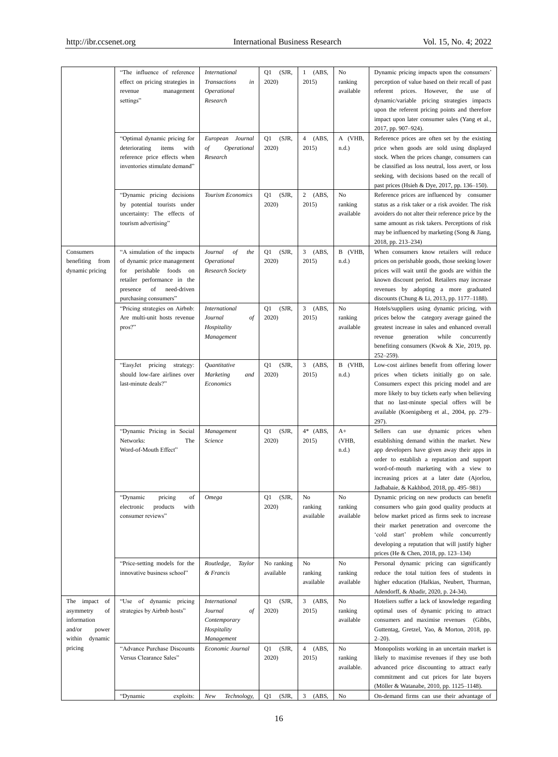|                                                                                            | "The influence of reference<br>effect on pricing strategies in<br>revenue<br>management<br>settings"                                                                               | <i>International</i><br><b>Transactions</b><br>in<br>Operational<br>Research       | (SJR,<br>Q1<br>2020)    | $1$ (ABS,<br>2015)               | No<br>ranking<br>available  | Dynamic pricing impacts upon the consumers'<br>perception of value based on their recall of past<br>referent prices. However, the use of<br>dynamic/variable pricing strategies impacts<br>upon the referent pricing points and therefore<br>impact upon later consumer sales (Yang et al.,<br>2017, pp. 907–924).               |
|--------------------------------------------------------------------------------------------|------------------------------------------------------------------------------------------------------------------------------------------------------------------------------------|------------------------------------------------------------------------------------|-------------------------|----------------------------------|-----------------------------|----------------------------------------------------------------------------------------------------------------------------------------------------------------------------------------------------------------------------------------------------------------------------------------------------------------------------------|
|                                                                                            | "Optimal dynamic pricing for<br>items<br>deteriorating<br>with<br>reference price effects when<br>inventories stimulate demand"                                                    | Journal<br>European<br>of<br>Operational<br>Research                               | (SJR,<br>Q1<br>2020)    | $4$ (ABS,<br>2015)               | A (VHB,<br>$n.d.$ )         | Reference prices are often set by the existing<br>price when goods are sold using displayed<br>stock. When the prices change, consumers can<br>be classified as loss neutral, loss avert, or loss<br>seeking, with decisions based on the recall of<br>past prices (Hsieh & Dye, 2017, pp. 136-150).                             |
|                                                                                            | "Dynamic pricing decisions<br>by potential tourists under<br>uncertainty: The effects of<br>tourism advertising"                                                                   | Tourism Economics                                                                  | (SJR,<br>Q1<br>2020)    | $2$ (ABS,<br>2015)               | No<br>ranking<br>available  | Reference prices are influenced by consumer<br>status as a risk taker or a risk avoider. The risk<br>avoiders do not alter their reference price by the<br>same amount as risk takers. Perceptions of risk<br>may be influenced by marketing (Song & Jiang,<br>2018, pp. 213-234)                                                |
| Consumers<br>benefiting from<br>dynamic pricing                                            | "A simulation of the impacts<br>of dynamic price management<br>for perishable foods<br>on<br>retailer performance in the<br>presence<br>of<br>need-driven<br>purchasing consumers" | Journal<br>of<br>the<br>Operational<br>Research Society                            | (SJR,<br>Q1<br>2020)    | $3$ (ABS,<br>2015)               | B (VHB,<br>$n.d.$ )         | When consumers know retailers will reduce<br>prices on perishable goods, those seeking lower<br>prices will wait until the goods are within the<br>known discount period. Retailers may increase<br>revenues by adopting a more graduated<br>discounts (Chung & Li, 2013, pp. 1177–1188).                                        |
|                                                                                            | "Pricing strategies on Airbnb:<br>Are multi-unit hosts revenue<br>pros?"                                                                                                           | <b>International</b><br>Journal<br>of<br>Hospitality<br>Management                 | (SJR,<br>Q1<br>2020)    | $3$ (ABS,<br>2015)               | No<br>ranking<br>available  | Hotels/suppliers using dynamic pricing, with<br>prices below the category average gained the<br>greatest increase in sales and enhanced overall<br>revenue<br>generation<br>while<br>concurrently<br>benefiting consumers (Kwok & Xie, 2019, pp.<br>$252 - 259$ ).                                                               |
|                                                                                            | "EasyJet pricing strategy:<br>should low-fare airlines over<br>last-minute deals?"                                                                                                 | Quantitative<br>Marketing<br>and<br>Economics                                      | (SJR,<br>Q1<br>2020)    | $3$ (ABS,<br>2015)               | B (VHB,<br>$n.d.$ )         | Low-cost airlines benefit from offering lower<br>prices when tickets initially go on sale.<br>Consumers expect this pricing model and are<br>more likely to buy tickets early when believing<br>that no last-minute special offers will be<br>available (Koenigsberg et al., 2004, pp. 279-<br>297).                             |
|                                                                                            | "Dynamic Pricing in Social<br>Networks:<br>The<br>Word-of-Mouth Effect"                                                                                                            | Management<br>Science                                                              | (SJR,<br>Q1<br>2020)    | $4*$ (ABS,<br>2015)              | $A+$<br>(VHB,<br>$n.d.$ )   | Sellers can use dynamic prices when<br>establishing demand within the market. New<br>app developers have given away their apps in<br>order to establish a reputation and support<br>word-of-mouth marketing with a view to<br>increasing prices at a later date (Ajorlou,<br>Jadbabaie, & Kakhbod, 2018, pp. 495-981)            |
|                                                                                            | "Dynamic<br>pricing<br>of<br>products<br>with<br>electronic<br>consumer reviews"                                                                                                   | Omega                                                                              | (SJR,<br>Q1<br>2020)    | No<br>ranking<br>available       | No<br>ranking<br>available  | Dynamic pricing on new products can benefit<br>consumers who gain good quality products at<br>below market priced as firms seek to increase<br>their market penetration and overcome the<br>'cold start' problem while concurrently<br>developing a reputation that will justify higher<br>prices (He & Chen, 2018, pp. 123-134) |
|                                                                                            | "Price-setting models for the<br>innovative business school"                                                                                                                       | Routledge,<br>Taylor<br>& Francis                                                  | No ranking<br>available | No<br>ranking<br>available       | No<br>ranking<br>available  | Personal dynamic pricing can significantly<br>reduce the total tuition fees of students in<br>higher education (Halkias, Neubert, Thurman,<br>Adendorff, & Abadir, 2020, p. 24-34).                                                                                                                                              |
| The impact<br>of<br>asymmetry<br>of<br>information<br>and/or<br>power<br>within<br>dynamic | "Use of dynamic pricing<br>strategies by Airbnb hosts"                                                                                                                             | <b>International</b><br>Journal<br>of<br>Contemporary<br>Hospitality<br>Management | (SJR,<br>Q1<br>2020)    | $3$ (ABS,<br>2015)               | No<br>ranking<br>available  | Hoteliers suffer a lack of knowledge regarding<br>optimal uses of dynamic pricing to attract<br>consumers and maximise revenues (Gibbs,<br>Guttentag, Gretzel, Yao, & Morton, 2018, pp.<br>$2 - 20$ ).                                                                                                                           |
| pricing                                                                                    | "Advance Purchase Discounts<br>Versus Clearance Sales"                                                                                                                             | Economic Journal                                                                   | Q1<br>(SJR,<br>2020)    | $\overline{4}$<br>(ABS,<br>2015) | No<br>ranking<br>available. | Monopolists working in an uncertain market is<br>likely to maximise revenues if they use both<br>advanced price discounting to attract early<br>commitment and cut prices for late buyers<br>(M öller & Watanabe, 2010, pp. 1125-1148).                                                                                          |
|                                                                                            | "Dynamic<br>exploits:                                                                                                                                                              | New<br>Technology,                                                                 | (SJR,<br>Q1             | $\mathfrak{Z}$<br>(ABS,          | No                          | On-demand firms can use their advantage of                                                                                                                                                                                                                                                                                       |